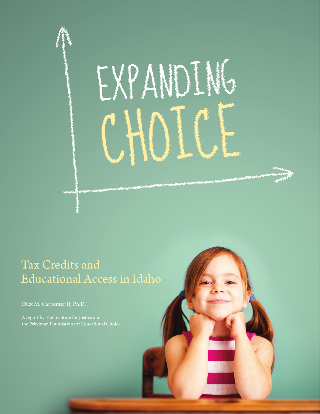

## Tax Credits and Educational Access in Idaho

Dick M. Carpenter II, Ph.D.

A report by the Institute for Justice and the Friedman Foundation for Educational Choice

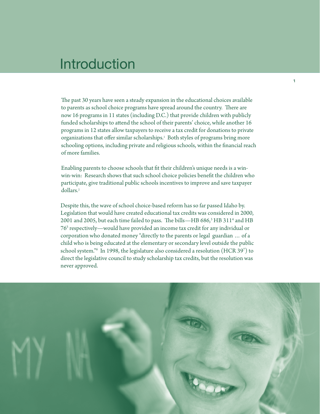## Introduction

The past 30 years have seen a steady expansion in the educational choices available to parents as school choice programs have spread around the country. There are now 16 programs in 11 states (including D.C.) that provide children with publicly funded scholarships to attend the school of their parents' choice, while another 16 programs in 12 states allow taxpayers to receive a tax credit for donations to private organizations that offer similar scholarships.1 Both styles of programs bring more schooling options, including private and religious schools, within the financial reach of more families.

Enabling parents to choose schools that fit their children's unique needs is a winwin-win: Research shows that such school choice policies benefit the children who participate, give traditional public schools incentives to improve and save taxpayer dollars.2

Despite this, the wave of school choice-based reform has so far passed Idaho by. Legislation that would have created educational tax credits was considered in 2000, 2001 and 2005, but each time failed to pass. The bills—HB 686, $^3$  HB 311<sup>4</sup> and HB 765 respectively—would have provided an income tax credit for any individual or corporation who donated money "directly to the parents or legal guardian … of a child who is being educated at the elementary or secondary level outside the public school system."6 In 1998, the legislature also considered a resolution (HCR 397 ) to direct the legislative council to study scholarship tax credits, but the resolution was never approved.

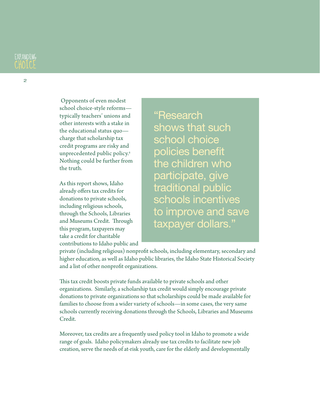

 Opponents of even modest school choice-style reforms typically teachers' unions and other interests with a stake in the educational status quo charge that scholarship tax

credit programs are risky and unprecedented public policy.8 Nothing could be further from the truth.

As this report shows, Idaho already offers tax credits for donations to private schools, including religious schools, through the Schools, Libraries and Museums Credit. Through this program, taxpayers may take a credit for charitable contributions to Idaho public and "Research shows that such school choice policies benefit the children who participate, give traditional public schools incentives to improve and save taxpayer dollars."

private (including religious) nonprofit schools, including elementary, secondary and higher education, as well as Idaho public libraries, the Idaho State Historical Society and a list of other nonprofit organizations.

This tax credit boosts private funds available to private schools and other organizations. Similarly, a scholarship tax credit would simply encourage private donations to private organizations so that scholarships could be made available for families to choose from a wider variety of schools—in some cases, the very same schools currently receiving donations through the Schools, Libraries and Museums Credit.

Moreover, tax credits are a frequently used policy tool in Idaho to promote a wide range of goals. Idaho policymakers already use tax credits to facilitate new job creation, serve the needs of at-risk youth, care for the elderly and developmentally

2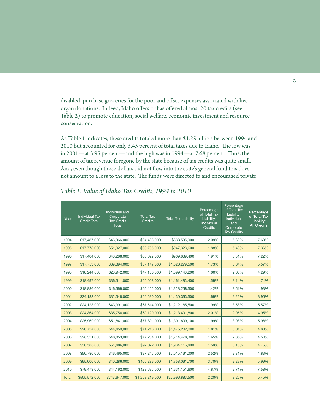disabled, purchase groceries for the poor and offset expenses associated with live organ donations. Indeed, Idaho offers or has offered almost 20 tax credits (see Table 2) to promote education, social welfare, economic investment and resource conservation.

As Table 1 indicates, these credits totaled more than \$1.25 billion between 1994 and 2010 but accounted for only 5.45 percent of total taxes due to Idaho. The low was in 2001—at 3.95 percent—and the high was in 1994—at 7.68 percent. Thus, the amount of tax revenue foregone by the state because of tax credits was quite small. And, even though those dollars did not flow into the state's general fund this does not amount to a loss to the state. The funds were directed to and encouraged private

| Year         | <b>Individual Tax</b><br><b>Credit Total</b> | Individual and<br>Corporate<br><b>Tax Credit</b><br><b>Total</b> | <b>Total Tax</b><br><b>Credits</b> | <b>Total Tax Liability</b> | Percentage<br>of Total Tax<br>Liability:<br>Individual<br><b>Credits</b> | Percentage<br>of Total Tax<br>Liability:<br>Individual<br>and<br>Corporate<br><b>Tax Credits</b> | Percentage<br>of Total Tax<br>Liability:<br><b>All Credits</b> |
|--------------|----------------------------------------------|------------------------------------------------------------------|------------------------------------|----------------------------|--------------------------------------------------------------------------|--------------------------------------------------------------------------------------------------|----------------------------------------------------------------|
| 1994         | \$17,437,000                                 | \$46,966,000                                                     | \$64,403,000                       | \$838,595,000              | 2.08%                                                                    | 5.60%                                                                                            | 7.68%                                                          |
| 1995         | \$17,778,000                                 | \$51,927,000                                                     | \$69,705,000                       | \$947,323,600              | 1.88%                                                                    | 5.48%                                                                                            | 7.36%                                                          |
| 1996         | \$17,404,000                                 | \$48,288,000                                                     | \$65,692,000                       | \$909,889,400              | 1.91%                                                                    | 5.31%                                                                                            | 7.22%                                                          |
| 1997         | \$17,753,000                                 | \$39,394,000                                                     | \$57,147,000                       | \$1,026,279,500            | 1.73%                                                                    | 3.84%                                                                                            | 5.57%                                                          |
| 1998         | \$18,244,000                                 | \$28,942,000                                                     | \$47,186,000                       | \$1,099,143,200            | 1.66%                                                                    | 2.63%                                                                                            | 4.29%                                                          |
| 1999         | \$18,497,000                                 | \$36,511,000                                                     | \$55,008,000                       | \$1,161,483,400            | 1.59%                                                                    | 3.14%                                                                                            | 4.74%                                                          |
| 2000         | \$18,886,000                                 | \$46,569,000                                                     | \$65,455,000                       | \$1,328,258,500            | 1.42%                                                                    | 3.51%                                                                                            | 4.93%                                                          |
| 2001         | \$24,182,000                                 | \$32,348,000                                                     | \$56,530,000                       | \$1,430,363,500            | 1.69%                                                                    | 2.26%                                                                                            | 3.95%                                                          |
| 2002         | \$24,123,000                                 | \$43,391,000                                                     | \$67,514,000                       | \$1,212,165,500            | 1.99%                                                                    | 3.58%                                                                                            | 5.57%                                                          |
| 2003         | \$24,364,000                                 | \$35,756,000                                                     | \$60,120,000                       | \$1,213,401,800            | 2.01%                                                                    | 2.95%                                                                                            | 4.95%                                                          |
| 2004         | \$25,960,000                                 | \$51,841,000                                                     | \$77,801,000                       | \$1,301,809,100            | 1.99%                                                                    | 3.98%                                                                                            | 5.98%                                                          |
| 2005         | \$26,754,000                                 | \$44,459,000                                                     | \$71,213,000                       | \$1,475,202,000            | 1.81%                                                                    | 3.01%                                                                                            | 4.83%                                                          |
| 2006         | \$28,351,000                                 | \$48,853,000                                                     | \$77,204,000                       | \$1,714,478,300            | 1.65%                                                                    | 2.85%                                                                                            | 4.50%                                                          |
| 2007         | \$30,586,000                                 | \$61,486,000                                                     | \$92,072,000                       | \$1,934,116,400            | 1.58%                                                                    | 3.18%                                                                                            | 4.76%                                                          |
| 2008         | \$50,780,000                                 | \$46,465,000                                                     | \$97,245,000                       | \$2,015,161,000            | 2.52%                                                                    | 2.31%                                                                                            | 4.83%                                                          |
| 2009         | \$65,000,000                                 | \$40,286,000                                                     | \$105,286,000                      | \$1,758,061,700            | 3.70%                                                                    | 2.29%                                                                                            | 5.99%                                                          |
| 2010         | \$79,473,000                                 | \$44,162,000                                                     | \$123,635,000                      | \$1,631,151,600            | 4.87%                                                                    | 2.71%                                                                                            | 7.58%                                                          |
| <b>Total</b> | \$505,572,000                                | \$747,647,000                                                    | \$1,253,219,000                    | \$22,996,883,500           | 2.20%                                                                    | 3.25%                                                                                            | 5.45%                                                          |

*Table 1: Value of Idaho Tax Credits, 1994 to 2010*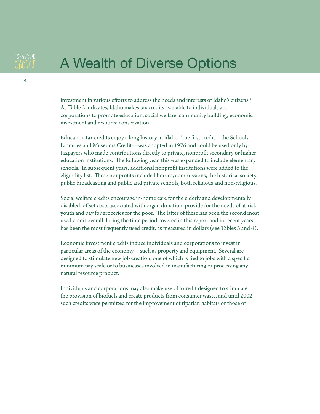4

# A Wealth of Diverse Options

investment in various efforts to address the needs and interests of Idaho's citizens.9 As Table 2 indicates, Idaho makes tax credits available to individuals and corporations to promote education, social welfare, community building, economic investment and resource conservation.

Education tax credits enjoy a long history in Idaho. The first credit—the Schools, Libraries and Museums Credit—was adopted in 1976 and could be used only by taxpayers who made contributions directly to private, nonprofit secondary or higher education institutions. The following year, this was expanded to include elementary schools. In subsequent years, additional nonprofit institutions were added to the eligibility list. These nonprofits include libraries, commissions, the historical society, public broadcasting and public and private schools, both religious and non-religious.

Social welfare credits encourage in-home care for the elderly and developmentally disabled, offset costs associated with organ donation, provide for the needs of at-risk youth and pay for groceries for the poor. The latter of these has been the second most used credit overall during the time period covered in this report and in recent years has been the most frequently used credit, as measured in dollars (see Tables 3 and 4).

Economic investment credits induce individuals and corporations to invest in particular areas of the economy—such as property and equipment. Several are designed to stimulate new job creation, one of which is tied to jobs with a specific minimum pay scale or to businesses involved in manufacturing or processing any natural resource product.

Individuals and corporations may also make use of a credit designed to stimulate the provision of biofuels and create products from consumer waste, and until 2002 such credits were permitted for the improvement of riparian habitats or those of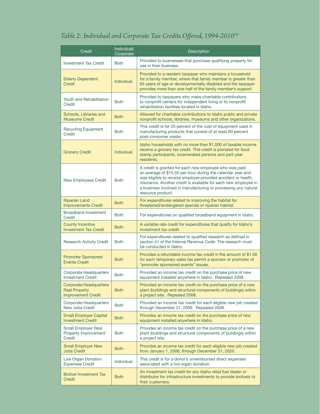### *Table 2: Individual and Corporate Tax Credits Offered, 1994-201010*

| Credit                                                                             | Individual/<br>Corporate | <b>Description</b>                                                                                                                                                                                                                                                                                                                              |  |
|------------------------------------------------------------------------------------|--------------------------|-------------------------------------------------------------------------------------------------------------------------------------------------------------------------------------------------------------------------------------------------------------------------------------------------------------------------------------------------|--|
| <b>Investment Tax Credit</b>                                                       | <b>Both</b>              | Provided to businesses that purchase qualifying property for<br>use in their business.                                                                                                                                                                                                                                                          |  |
| <b>Elderly Dependent</b><br>Credit                                                 | <b>Individual</b>        | Provided to a resident taxpayer who maintains a household<br>for a family member, where that family member is greater than<br>65 years of age or developmentally disabled and the taxpayer<br>provides more than one-half of the family member's support.                                                                                       |  |
| Youth and Rehabilitation<br>Credit                                                 | <b>Both</b>              | Provided to taxpayers who make charitable contributions<br>to nonprofit centers for independent living or to nonprofit<br>rehabilitation facilities located in Idaho.                                                                                                                                                                           |  |
| Schools, Libraries and<br><b>Museums Credit</b>                                    | <b>Both</b>              | Allowed for charitable contributions to Idaho public and private<br>nonprofit schools, libraries, museums and other organizations.                                                                                                                                                                                                              |  |
| <b>Recycling Equipment</b><br>Credit                                               | <b>Both</b>              | This credit is for 20 percent of the cost of equipment used in<br>manufacturing products that consist of at least 90 percent<br>post-consumer waste.                                                                                                                                                                                            |  |
| <b>Grocery Credit</b>                                                              | Individual               | Idaho households with no more than \$1,000 of taxable income<br>receive a grocery tax credit. This credit is prorated for food<br>stamp participants, incarcerated persons and part-year<br>residents.                                                                                                                                          |  |
| <b>New Employees Credit</b>                                                        | <b>Both</b>              | A credit is granted for each new employee who was paid<br>an average of \$15.50 per hour during the calendar year and<br>was eligible to receive employer-provided accident or health<br>insurance. Another credit is available for each new employee in<br>a business involved in manufacturing or processing any natural<br>resource product. |  |
| <b>Riparian Land</b><br><b>Improvements Credit</b>                                 | <b>Both</b>              | For expenditures related to improving the habitat for<br>threatened/endangered species or riparian habitat.                                                                                                                                                                                                                                     |  |
| <b>Broadband Investment</b><br>Credit                                              | <b>Both</b>              | For expenditures on qualified broadband equipment in Idaho.                                                                                                                                                                                                                                                                                     |  |
| <b>County Incentive</b><br><b>Investment Tax Credit</b>                            | <b>Both</b>              | A variable rate credit for expenditures that qualify for Idaho's<br>investment tax credit.                                                                                                                                                                                                                                                      |  |
| <b>Research Activity Credit</b>                                                    | <b>Both</b>              | For expenditures related to qualified research as defined in<br>section 41 of the Internal Revenue Code. The research must<br>be conducted in Idaho.                                                                                                                                                                                            |  |
| <b>Promoter Sponsored</b><br><b>Events Credit</b>                                  | <b>Both</b>              | Provides a refundable income tax credit in the amount of \$1.00<br>for each temporary sales tax permit a sponsor or promoter of<br>"promoter sponsored events" issues.                                                                                                                                                                          |  |
| Corporate Headquarters<br><b>Investment Credit</b>                                 | <b>Both</b>              | Provided an income tax credit on the purchase price of new<br>equipment installed anywhere in Idaho. Repealed 2008.                                                                                                                                                                                                                             |  |
| <b>Corporate Headquarters</b><br><b>Real Property</b><br><b>Improvement Credit</b> | <b>Both</b>              | Provided an income tax credit on the purchase price of a new<br>plant (buildings and structural components of buildings) within<br>a project site. Repealed 2008.                                                                                                                                                                               |  |
| <b>Corporate Headquarters</b><br><b>New Jobs Credit</b>                            | <b>Both</b>              | Provided an income tax credit for each eligible new job created<br>through December 31, 2009. Repealed 2008.                                                                                                                                                                                                                                    |  |
| <b>Small Employer Capital</b><br><b>Investment Credit</b>                          | <b>Both</b>              | Provides an income tax credit on the purchase price of new<br>equipment installed anywhere in Idaho.                                                                                                                                                                                                                                            |  |
| <b>Small Employer Real</b><br>Property Improvement<br>Credit                       | <b>Both</b>              | Provides an income tax credit on the purchase price of a new<br>plant (buildings and structural components of buildings) within<br>a project site.                                                                                                                                                                                              |  |
| <b>Small Employer New</b><br><b>Jobs Credit</b>                                    | <b>Both</b>              | Provides an income tax credit for each eligible new job created<br>from January 1, 2006, through December 31, 2020.                                                                                                                                                                                                                             |  |
| Live Organ Donation<br><b>Expenses Credit</b>                                      | Individual               | This credit is for a donor's unreimbursed direct expenses<br>associated with a live organ donation.                                                                                                                                                                                                                                             |  |
| <b>Biofuel Investment Tax</b><br>Credit                                            | <b>Both</b>              | An investment tax credit for any Idaho retail fuel dealer or<br>distributor for infrastructure investments to provide biofuels to<br>their customers.                                                                                                                                                                                           |  |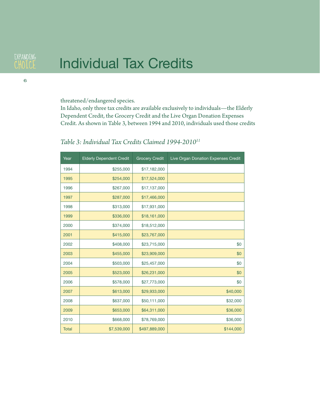# Individual Tax Credits

threatened/endangered species.

In Idaho, only three tax credits are available exclusively to individuals—the Elderly Dependent Credit, the Grocery Credit and the Live Organ Donation Expenses Credit. As shown in Table 3, between 1994 and 2010, individuals used those credits

| Year         | <b>Elderly Dependent Credit</b> | <b>Grocery Credit</b> | Live Organ Donation Expenses Credit |
|--------------|---------------------------------|-----------------------|-------------------------------------|
| 1994         | \$255,000                       | \$17,182,000          |                                     |
| 1995         | \$254,000                       | \$17,524,000          |                                     |
| 1996         | \$267,000                       | \$17,137,000          |                                     |
| 1997         | \$287,000                       | \$17,466,000          |                                     |
| 1998         | \$313,000                       | \$17,931,000          |                                     |
| 1999         | \$336,000                       | \$18,161,000          |                                     |
| 2000         | \$374,000                       | \$18,512,000          |                                     |
| 2001         | \$415,000                       | \$23,767,000          |                                     |
| 2002         | \$408,000                       | \$23,715,000          | \$0                                 |
| 2003         | \$455,000                       | \$23,909,000          | \$0                                 |
| 2004         | \$503,000                       | \$25,457,000          | \$0                                 |
| 2005         | \$523,000                       | \$26,231,000          | \$0                                 |
| 2006         | \$578,000                       | \$27,773,000          | \$0                                 |
| 2007         | \$613,000                       | \$29,933,000          | \$40,000                            |
| 2008         | \$637,000                       | \$50,111,000          | \$32,000                            |
| 2009         | \$653,000                       | \$64,311,000          | \$36,000                            |
| 2010         | \$668,000                       | \$78,769,000          | \$36,000                            |
| <b>Total</b> | \$7,539,000                     | \$497,889,000         | \$144,000                           |

#### *Table 3: Individual Tax Credits Claimed 1994-201011*

**EXPANDING** CHOLCE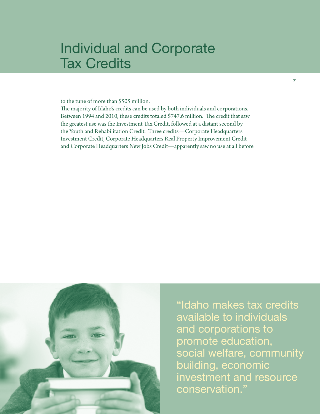# Individual and Corporate Tax Credits

to the tune of more than \$505 million.

The majority of Idaho's credits can be used by both individuals and corporations. Between 1994 and 2010, these credits totaled \$747.6 million. The credit that saw the greatest use was the Investment Tax Credit, followed at a distant second by the Youth and Rehabilitation Credit. Three credits—Corporate Headquarters Investment Credit, Corporate Headquarters Real Property Improvement Credit and Corporate Headquarters New Jobs Credit—apparently saw no use at all before



"Idaho makes tax credits available to individuals and corporations to promote education, social welfare, community building, economic investment and resource conservation."

7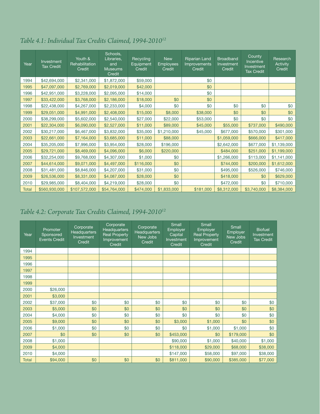| Year         | Investment<br><b>Tax Credit</b> | Youth &<br>Rehabilitation<br>Credit | Schools,<br>Libraries,<br>and<br><b>Museums</b><br>Credit | Recycling<br>Equipment<br>Credit | <b>New</b><br><b>Employees</b><br>Credit | <b>Riparian Land</b><br>Improvements<br>Credit | <b>Broadband</b><br>Investment<br>Credit | County<br>Incentive<br>Investment<br><b>Tax Credit</b> | Research<br>Activity<br>Credit |
|--------------|---------------------------------|-------------------------------------|-----------------------------------------------------------|----------------------------------|------------------------------------------|------------------------------------------------|------------------------------------------|--------------------------------------------------------|--------------------------------|
| 1994         | \$42,694,000                    | \$2,341,000                         | \$1,872,000                                               | \$59,000                         |                                          | \$0                                            |                                          |                                                        |                                |
| 1995         | \$47,097,000                    | \$2,769,000                         | \$2,019,000                                               | \$42,000                         |                                          | \$0                                            |                                          |                                                        |                                |
| 1996         | \$42,951,000                    | \$3,228,000                         | \$2,095,000                                               | \$14,000                         |                                          | \$0                                            |                                          |                                                        |                                |
| 1997         | \$33,422,000                    | \$3,768,000                         | \$2,186,000                                               | \$18,000                         | \$0                                      | \$0                                            |                                          |                                                        |                                |
| 1998         | \$22,438,000                    | \$4,267,000                         | \$2,233,000                                               | \$4,000                          | \$0                                      | \$0                                            | \$0                                      | \$0                                                    | \$0                            |
| 1999         | \$29,051,000                    | \$4,991,000                         | \$2,408,000                                               | \$15,000                         | \$8,000                                  | \$38,000                                       | \$0                                      | \$0                                                    | \$0                            |
| 2000         | \$38,299,000                    | \$5,602,000                         | \$2,540,000                                               | \$27,000                         | \$22,000                                 | \$53,000                                       | \$0                                      | \$0                                                    | \$0                            |
| 2001         | \$22,304,000                    | \$6,090,000                         | \$2,527,000                                               | \$11,000                         | \$89,000                                 | \$45,000                                       | \$55,000                                 | \$737,000                                              | \$490,000                      |
| 2002         | \$30,217,000                    | \$6,467,000                         | \$3,832,000                                               | \$35,000                         | \$1,210,000                              | \$45,000                                       | \$677,000                                | \$570,000                                              | \$301,000                      |
| 2003         | \$22,661,000                    | \$7,164,000                         | \$3,685,000                                               | \$11,000                         | \$88,000                                 |                                                | \$1,059,000                              | \$666,000                                              | \$417,000                      |
| 2004         | \$35,205,000                    | \$7,996,000                         | \$3,954,000                                               | \$28,000                         | \$196,000                                |                                                | \$2,642,000                              | \$677,000                                              | \$1,139,000                    |
| 2005         | \$29,721,000                    | \$8,469,000                         | \$4,096,000                                               | \$6,000                          | \$220,000                                |                                                | \$484,000                                | \$251,000                                              | \$1,199,000                    |
| 2006         | \$32,254,000                    | \$9,768,000                         | \$4,307,000                                               | \$1,000                          | \$0                                      |                                                | \$1,266,000                              | \$113,000                                              | \$1,141,000                    |
| 2007         | \$44,614,000                    | \$9,071,000                         | \$4,497,000                                               | \$116,000                        | \$0                                      |                                                | \$744,000                                | \$200,000                                              | \$1,612,000                    |
| 2008         | \$31,481,000                    | \$8,846,000                         | \$4,207,000                                               | \$31,000                         | \$0                                      |                                                | \$495,000                                | \$526,000                                              | \$746,000                      |
| 2009         | \$26,536,000                    | \$8,331,000                         | \$4,087,000                                               | \$28,000                         | \$0                                      |                                                | \$418,000                                | \$0                                                    | \$629,000                      |
| 2010         | \$29,985,000                    | \$8,404,000                         | \$4,219,000                                               | \$28,000                         | \$0                                      |                                                | \$472,000                                | \$0                                                    | \$710,000                      |
| <b>Total</b> | \$560,930,000                   | \$107,572,000                       | \$54,764,000                                              | \$474,000                        | \$1,833,000                              | \$181,000                                      | \$8,312,000                              | \$3,740,000                                            | \$8,384,000                    |

#### *Table 4.1: Individual Tax Credits Claimed, 1994-201012*

### *Table 4.2: Corporate Tax Credits Claimed, 1994-201012*

| Year         | Promoter<br>Sponsored<br><b>Events Credit</b> | Corporate<br><b>Headquarters</b><br>Investment<br>Credit | Corporate<br><b>Headquarters</b><br><b>Real Property</b><br>Improvement<br><b>Credit</b> | Corporate<br><b>Headquarters</b><br>New Jobs<br>Credit | Small<br><b>Employer</b><br>Capital<br>Investment<br>Credit | Small<br><b>Employer</b><br><b>Real Property</b><br>Improvement<br>Credit | Small<br>Employer<br>New Jobs<br>Credit | <b>Biofuel</b><br>Investment<br><b>Tax Credit</b> |
|--------------|-----------------------------------------------|----------------------------------------------------------|------------------------------------------------------------------------------------------|--------------------------------------------------------|-------------------------------------------------------------|---------------------------------------------------------------------------|-----------------------------------------|---------------------------------------------------|
| 1994         |                                               |                                                          |                                                                                          |                                                        |                                                             |                                                                           |                                         |                                                   |
| 1995         |                                               |                                                          |                                                                                          |                                                        |                                                             |                                                                           |                                         |                                                   |
| 1996         |                                               |                                                          |                                                                                          |                                                        |                                                             |                                                                           |                                         |                                                   |
| 1997         |                                               |                                                          |                                                                                          |                                                        |                                                             |                                                                           |                                         |                                                   |
| 1998         |                                               |                                                          |                                                                                          |                                                        |                                                             |                                                                           |                                         |                                                   |
| 1999         |                                               |                                                          |                                                                                          |                                                        |                                                             |                                                                           |                                         |                                                   |
| 2000         | \$26,000                                      |                                                          |                                                                                          |                                                        |                                                             |                                                                           |                                         |                                                   |
| 2001         | \$3,000                                       |                                                          |                                                                                          |                                                        |                                                             |                                                                           |                                         |                                                   |
| 2002         | \$37,000                                      | \$0                                                      | \$0                                                                                      | \$0                                                    | \$0                                                         | \$0                                                                       | \$0                                     | \$0                                               |
| 2003         | \$5,000                                       | \$0                                                      | \$0                                                                                      | \$0                                                    | \$0                                                         | \$0                                                                       | \$0                                     | \$0                                               |
| 2004         | \$4,000                                       | \$0                                                      | \$0                                                                                      | \$0                                                    | \$0                                                         | \$0                                                                       | \$0                                     | \$0                                               |
| 2005         | \$9,000                                       | \$0                                                      | \$0                                                                                      | \$0                                                    | \$3,000                                                     | \$1,000                                                                   | \$0                                     | \$0                                               |
| 2006         | \$1,000                                       | \$0                                                      | \$0                                                                                      | \$0                                                    | \$0                                                         | \$1,000                                                                   | \$1,000                                 | \$0                                               |
| 2007         | \$0                                           | \$0                                                      | \$0                                                                                      | \$0                                                    | \$453,000                                                   | \$0                                                                       | \$179,000                               | \$0                                               |
| 2008         | \$1,000                                       |                                                          |                                                                                          |                                                        | \$90,000                                                    | \$1,000                                                                   | \$40,000                                | \$1,000                                           |
| 2009         | \$4,000                                       |                                                          |                                                                                          |                                                        | \$118,000                                                   | \$29,000                                                                  | \$68,000                                | \$38,000                                          |
| 2010         | \$4,000                                       |                                                          |                                                                                          |                                                        | \$147,000                                                   | \$58,000                                                                  | \$97,000                                | \$38,000                                          |
| <b>Total</b> | \$94,000                                      | \$0                                                      | \$0                                                                                      | \$0                                                    | \$811,000                                                   | \$90,000                                                                  | \$385,000                               | \$77,000                                          |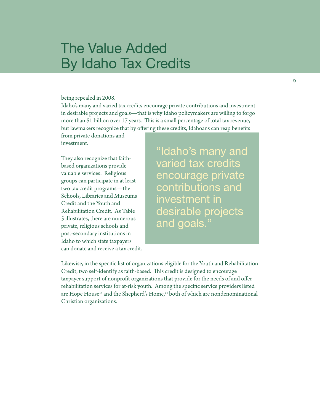# The Value Added By Idaho Tax Credits

#### being repealed in 2008.

Idaho's many and varied tax credits encourage private contributions and investment in desirable projects and goals—that is why Idaho policymakers are willing to forgo more than \$1 billion over 17 years. This is a small percentage of total tax revenue, but lawmakers recognize that by offering these credits, Idahoans can reap benefits

from private donations and investment.

They also recognize that faithbased organizations provide valuable services: Religious groups can participate in at least two tax credit programs—the Schools, Libraries and Museums Credit and the Youth and Rehabilitation Credit. As Table 5 illustrates, there are numerous private, religious schools and post-secondary institutions in Idaho to which state taxpayers can donate and receive a tax credit. "Idaho's many and varied tax credits encourage private contributions and investment in desirable projects and goals."

Likewise, in the specific list of organizations eligible for the Youth and Rehabilitation Credit, two self-identify as faith-based. This credit is designed to encourage taxpayer support of nonprofit organizations that provide for the needs of and offer rehabilitation services for at-risk youth. Among the specific service providers listed are Hope House<sup>13</sup> and the Shepherd's Home,<sup>14</sup> both of which are nondenominational Christian organizations.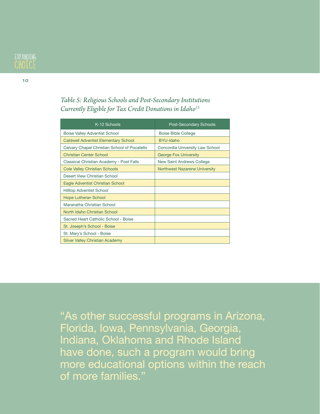

10

#### *Table 5: Religious Schools and Post-Secondary Institutions Currently Eligible for Tax Credit Donations in Idaho15*

| K-12 Schools                                 | <b>Post-Secondary Schools</b>        |
|----------------------------------------------|--------------------------------------|
| <b>Boise Valley Adventist School</b>         | <b>Boise Bible College</b>           |
| <b>Caldwell Adventist Elementary School</b>  | <b>BYU-Idaho</b>                     |
| Calvary Chapel Christian School of Pocatello | Concordia University Law School      |
| <b>Christian Center School</b>               | <b>George Fox University</b>         |
| Classical Christian Academy - Post Falls     | New Saint Andrews College            |
| <b>Cole Valley Christian Schools</b>         | <b>Northwest Nazarene University</b> |
| Desert View Christian School                 |                                      |
| Eagle Adventist Christian School             |                                      |
| <b>Hilltop Adventist School</b>              |                                      |
| <b>Hope Lutheran School</b>                  |                                      |
| Maranatha Christian School                   |                                      |
| North Idaho Christian School                 |                                      |
| Sacred Heart Catholic School - Boise         |                                      |
| St. Joseph's School - Boise                  |                                      |
| St. Mary's School - Boise                    |                                      |
| <b>Silver Valley Christian Academy</b>       |                                      |

"As other successful programs in Arizona, Florida, Iowa, Pennsylvania, Georgia, Indiana, Oklahoma and Rhode Island have done, such a program would bring more educational options within the reach of more families."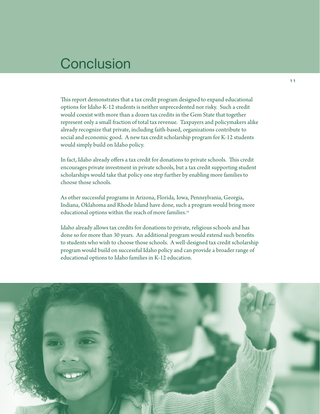## **Conclusion**

This report demonstrates that a tax credit program designed to expand educational options for Idaho K-12 students is neither unprecedented nor risky. Such a credit would coexist with more than a dozen tax credits in the Gem State that together represent only a small fraction of total tax revenue. Taxpayers and policymakers alike already recognize that private, including faith-based, organizations contribute to social and economic good. A new tax credit scholarship program for K-12 students would simply build on Idaho policy.

In fact, Idaho already offers a tax credit for donations to private schools. This credit encourages private investment in private schools, but a tax credit supporting student scholarships would take that policy one step further by enabling more families to choose those schools.

As other successful programs in Arizona, Florida, Iowa, Pennsylvania, Georgia, Indiana, Oklahoma and Rhode Island have done, such a program would bring more educational options within the reach of more families.<sup>16</sup>

Idaho already allows tax credits for donations to private, religious schools and has done so for more than 30 years. An additional program would extend such benefits to students who wish to choose those schools. A well-designed tax credit scholarship program would build on successful Idaho policy and can provide a broader range of educational options to Idaho families in K-12 education.

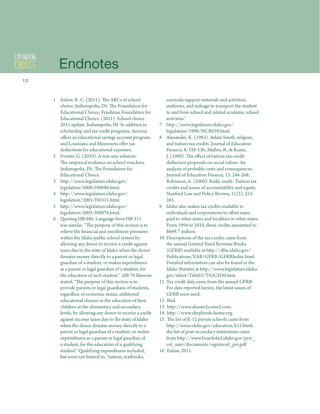# **Endnotes**

**EXPANDING** CHOLCE

- 1 Enlow, R. C. (2011). The ABCs of school choice. Indianapolis, IN: The Foundation for Educational Choice; Friedman Foundation for Educational Choice. (2011). School choice 2011 update. Indianapolis, IN. In addition to scholarship and tax credit programs, Arizona offers an educational savings account program, and Louisiana and Minnesota offer tax deductions for educational expenses.
- 2 Forster, G. (2010). A win-win solution: The empirical evidence on school vouchers. Indianapolis, IN: The Foundation for Educational Choice.
- 3 http://www.legislature.idaho.gov/ legislation/2000/H0686.html.
- 4 http://www.legislature.idaho.gov/ legislation/2001/H0311.html.
- 5 http://www.legislature.idaho.gov/ legislation/2005/H0076.html.
- 6 Quoting HB 686. Language from HB 311 was similar: "The purpose of this section is to relieve the financial and enrollment pressures within the Idaho public school system by allowing any donor to receive a credit against taxes due to the state of Idaho when the donor donates money directly to a parent or legal guardian of a student, or makes expenditures as a parent or legal guardian of a student, for the education of such student." HB 76 likewise stated, "The purpose of this section is to provide parents or legal guardians of students, regardless of economic status, additional educational choices in the education of their children at the elementary and secondary levels, by allowing any donor to receive a credit against income taxes due to the state of Idaho when the donor donates money directly to a parent or legal guardian of a student, or makes expenditures as a parent or legal guardian of a student, for the education of a qualifying student." Qualifying expenditures included, but were not limited to, "tuition, textbooks,

curricula support materials and activities, uniforms, and mileage to transport the student to and from school and related academic school activities."

- 7 http://www.legislature.idaho.gov/ legislation/1998/HCR039.html.
- 8 Alexander, K. (1983). Adam Smith, religion, and tuition tax credits. Journal of Education Finance, 8, 528-536; Mallen, B., & Kranz, J. (1989). The effect of tuition-tax-credit deduction proposals on social values: An analysis of probable costs and consequences. Journal of Education Finance, 15, 244-268; Robinson, A. (2000). Risky credit: Tuition tax credits and issues of accountability and equity. Stanford Law and Policy Review, 11(2), 253- 265.
- 9 Idaho also makes tax credits available to individuals and corporations to offset taxes paid to other states and localities in other states. From 1994 to 2010, these credits amounted to \$669.7 million.
- 10 Descriptions of the tax credits came from the annual General Fund Revenue Books (GFRB) available at http://dfm.idaho.gov/ Publications/EAB/GFRB/GFRBIndex.html. Detailed information can also be found in the Idaho Statutes at http://www.legislature.idaho. gov/idstat/Title63/T63CH30.htm.
- 11 Tax credit data came from the annual GFRB. For data reported herein, the latest issues of GFRB were used.
- 12 Ibid.
- 13 http://www.ahome2come2.com.
- 14 http://www.shepherds-home.org.
- 15 The list of K-12 private schools came from http://www.idaho.gov/education/k12.html; the list of post-secondary institutions came from http://www.boardofed.idaho.gov/priv\_ col\_univ/documents/registered\_pei.pdf.
- 16 Enlow, 2011.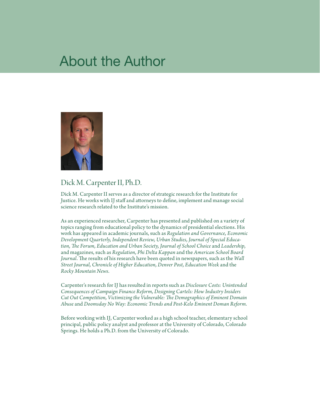## About the Author



### Dick M. Carpenter II, Ph.D.

Dick M. Carpenter II serves as a director of strategic research for the Institute for Justice. He works with IJ staff and attorneys to define, implement and manage social science research related to the Institute's mission.

As an experienced researcher, Carpenter has presented and published on a variety of topics ranging from educational policy to the dynamics of presidential elections. His work has appeared in academic journals, such as *Regulation and Governance, Economic Development Quarterly, Independent Review, Urban Studies, Journal of Special Education, The Forum, Education and Urban Society, Journal of School Choice* and *Leadership*, and magazines, such as *Regulation, Phi Delta Kappan* and the *American School Board Journal*. The results of his research have been quoted in newspapers, such as the *Wall Street Journal, Chronicle of Higher Education, Denver Post, Education Week* and the *Rocky Mountain News*.

Carpenter's research for IJ has resulted in reports such as *Disclosure Costs: Unintended Consequences of Campaign Finance Reform, Designing Cartels: How Industry Insiders Cut Out Competition, Victimizing the Vulnerable: The Demographics of Eminent Domain Abuse* and *Doomsday No Way: Economic Trends and Post-Kelo Eminent Doman Reform*.

Before working with IJ, Carpenter worked as a high school teacher, elementary school principal, public policy analyst and professor at the University of Colorado, Colorado Springs. He holds a Ph.D. from the University of Colorado.